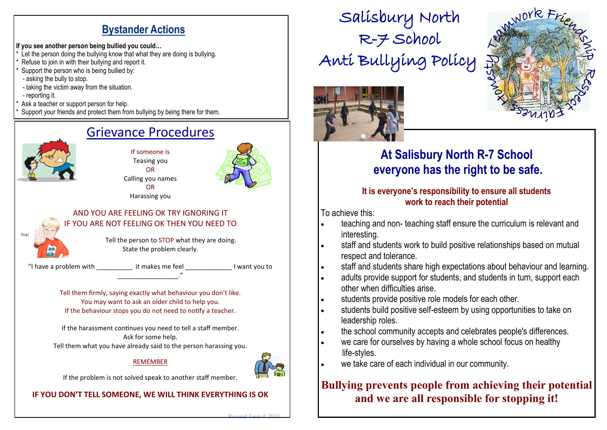### **Bystander Actions**

#### **If you see another person being bullied you could…**

- Let the person doing the bullying know that what they are doing is bullying.
- Refuse to join in with their bullying and report it.
- Support the person who is being bullied by:
- asking the bully to stop.
- taking the victim away from the situation.
- reporting it.
- Ask a teacher or support person for help.
- Support your friends and protect them from bullying by being there for them.

## Grievance Procedures

If someone is Teasing you OR Calling you names OR Harassing you



#### AND YOU ARE FEELING OK TRY IGNORING IT IF YOU ARE NOT FEELING OK THEN YOU NEED TO

Tell the person to STOP what they are doing. State the problem clearly.

"I have a problem with \_\_\_\_\_\_\_\_\_\_ it makes me feel \_\_\_\_\_\_\_\_\_\_\_\_\_ I want you to

Tell them firmly, saying exactly what behaviour you don't like. You may want to ask an older child to help you. If the behaviour stops you do not need to notify a teacher.

\_\_\_\_\_\_\_\_\_\_\_\_\_\_\_\_\_."

If the harassment continues you need to tell a staff member. Ask for some help. Tell them what you have already said to the person harassing you.

#### **REMEMBER**



Revised Term 4 2013

If the problem is not solved speak to another staff member.

### **IF YOU DON'T TELL SOMEONE, WE WILL THINK EVERYTHING IS OK**

Salisbury North R-7 School Anti Bullying Policy



# **At Salisbury North R-7 School everyone has the right to be safe.**

JOYR F

#### **It is everyone's responsibility to ensure all students work to reach their potential**

To achieve this:

- teaching and non- teaching staff ensure the curriculum is relevant and interesting.
- staff and students work to build positive relationships based on mutual respect and tolerance.
- staff and students share high expectations about behaviour and learning.
- adults provide support for students, and students in turn, support each other when difficulties arise.
- students provide positive role models for each other.
- students build positive self-esteem by using opportunities to take on leadership roles.
- the school community accepts and celebrates people's differences.
- we care for ourselves by having a whole school focus on healthy life-styles.
- we take care of each individual in our community.

### **Bullying prevents people from achieving their potential and we are all responsible for stopping it!**